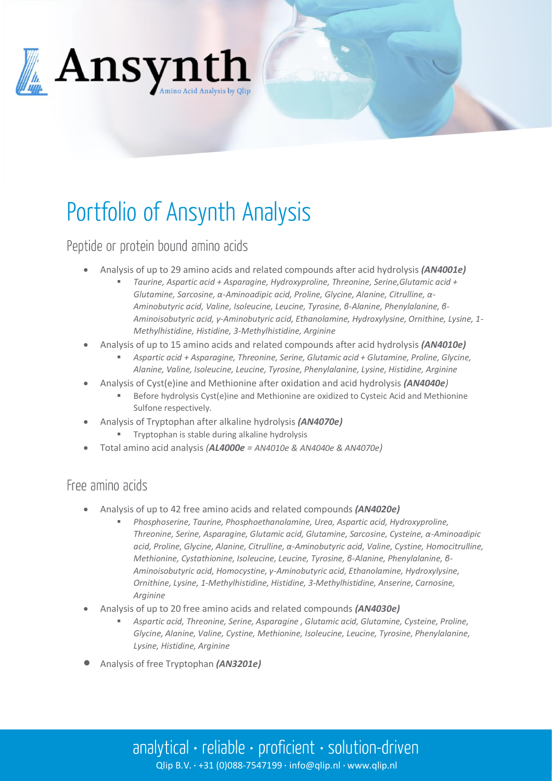

# Portfolio of Ansynth Analysis

## Peptide or protein bound amino acids

- Analysis of up to 29 amino acids and related compounds after acid hydrolysis *(AN4001e)*
	- *Taurine, Aspartic acid + Asparagine, Hydroxyproline, Threonine, Serine,Glutamic acid + Glutamine, Sarcosine, α-Aminoadipic acid, Proline, Glycine, Alanine, Citrulline, α-Aminobutyric acid, Valine, Isoleucine, Leucine, Tyrosine, β-Alanine, Phenylalanine, β-Aminoisobutyric acid, γ-Aminobutyric acid, Ethanolamine, Hydroxylysine, Ornithine, Lysine, 1- Methylhistidine, Histidine, 3-Methylhistidine, Arginine*
- Analysis of up to 15 amino acids and related compounds after acid hydrolysis *(AN4010e)*
	- *Aspartic acid + Asparagine, Threonine, Serine, Glutamic acid + Glutamine, Proline, Glycine, Alanine, Valine, Isoleucine, Leucine, Tyrosine, Phenylalanine, Lysine, Histidine, Arginine*
- Analysis of Cyst(e)ine and Methionine after oxidation and acid hydrolysis *(AN4040e)*
	- Before hydrolysis Cyst(e)ine and Methionine are oxidized to Cysteic Acid and Methionine Sulfone respectively.
- Analysis of Tryptophan after alkaline hydrolysis *(AN4070e)*
	- Tryptophan is stable during alkaline hydrolysis
- Total amino acid analysis *(AL4000e = AN4010e & AN4040e & AN4070e)*

#### Free amino acids

- Analysis of up to 42 free amino acids and related compounds *(AN4020e)*
	- *Phosphoserine, Taurine, Phosphoethanolamine, Urea, Aspartic acid, Hydroxyproline, Threonine, Serine, Asparagine, Glutamic acid, Glutamine, Sarcosine, Cysteine, α-Aminoadipic acid, Proline, Glycine, Alanine, Citrulline, α-Aminobutyric acid, Valine, Cystine, Homocitrulline, Methionine, Cystathionine, Isoleucine, Leucine, Tyrosine, β-Alanine, Phenylalanine, β-Aminoisobutyric acid, Homocystine, γ-Aminobutyric acid, Ethanolamine, Hydroxylysine, Ornithine, Lysine, 1-Methylhistidine, Histidine, 3-Methylhistidine, Anserine, Carnosine, Arginine*
- Analysis of up to 20 free amino acids and related compounds *(AN4030e)*
	- *Aspartic acid, Threonine, Serine, Asparagine , Glutamic acid, Glutamine, Cysteine, Proline, Glycine, Alanine, Valine, Cystine, Methionine, Isoleucine, Leucine, Tyrosine, Phenylalanine, Lysine, Histidine, Arginine*
- Analysis of free Tryptophan *(AN3201e)*